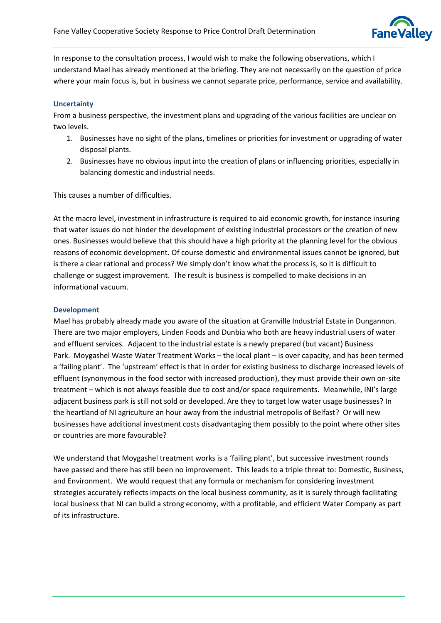

In response to the consultation process, I would wish to make the following observations, which I understand Mael has already mentioned at the briefing. They are not necessarily on the question of price where your main focus is, but in business we cannot separate price, performance, service and availability.

## **Uncertainty**

From a business perspective, the investment plans and upgrading of the various facilities are unclear on two levels.

- 1. Businesses have no sight of the plans, timelines or priorities for investment or upgrading of water disposal plants.
- 2. Businesses have no obvious input into the creation of plans or influencing priorities, especially in balancing domestic and industrial needs.

This causes a number of difficulties.

At the macro level, investment in infrastructure is required to aid economic growth, for instance insuring that water issues do not hinder the development of existing industrial processors or the creation of new ones. Businesses would believe that this should have a high priority at the planning level for the obvious reasons of economic development. Of course domestic and environmental issues cannot be ignored, but is there a clear rational and process? We simply don't know what the process is, so it is difficult to challenge or suggest improvement. The result is business is compelled to make decisions in an informational vacuum.

## **Development**

Mael has probably already made you aware of the situation at Granville Industrial Estate in Dungannon. There are two major employers, Linden Foods and Dunbia who both are heavy industrial users of water and effluent services. Adjacent to the industrial estate is a newly prepared (but vacant) Business Park. Moygashel Waste Water Treatment Works – the local plant – is over capacity, and has been termed a 'failing plant'. The 'upstream' effect is that in order for existing business to discharge increased levels of effluent (synonymous in the food sector with increased production), they must provide their own on-site treatment – which is not always feasible due to cost and/or space requirements. Meanwhile, INI's large adjacent business park is still not sold or developed. Are they to target low water usage businesses? In the heartland of NI agriculture an hour away from the industrial metropolis of Belfast? Or will new businesses have additional investment costs disadvantaging them possibly to the point where other sites or countries are more favourable?

We understand that Moygashel treatment works is a 'failing plant', but successive investment rounds have passed and there has still been no improvement. This leads to a triple threat to: Domestic, Business, and Environment. We would request that any formula or mechanism for considering investment strategies accurately reflects impacts on the local business community, as it is surely through facilitating local business that NI can build a strong economy, with a profitable, and efficient Water Company as part of its infrastructure.